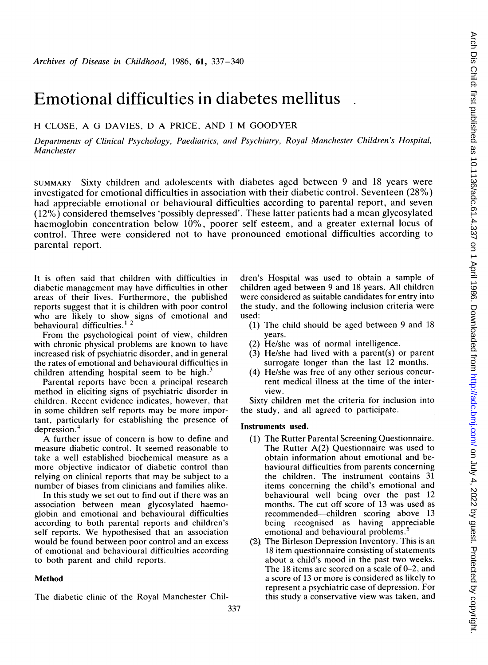# Emotional difficulties in diabetes mellitus

# H CLOSE, A G DAVIES, D A PRICE, AND <sup>I</sup> M GOODYER

Departments of Clinical Psychology, Paediatrics, and Psychiatry, Royal Manchester Children's Hospital, Manchester

SUMMARY Sixty children and adolescents with diabetes aged between 9 and 18 years were investigated for emotional difficulties in association with their diabetic control. Seventeen (28%) had appreciable emotional or behavioural difficulties according to parental report, and seven (12%) considered themselves 'possibly depressed'. These latter patients had <sup>a</sup> mean glycosylated haemoglobin concentration below 10%, poorer self esteem, and a greater external locus of control. Three were considered not to have pronounced emotional difficulties according to parental report.

It is often said that children with difficulties in diabetic management may have difficulties in other areas of their lives. Furthermore, the published reports suggest that it is children with poor control who are likely to show signs of emotional and behavioural difficulties.<sup>12</sup>

From the psychological point of view, children with chronic physical problems are known to have increased risk of psychiatric disorder, and in general the rates of emotional and behavioural difficulties in children attending hospital seem to be high.<sup>3</sup>

Parental reports have been a principal research method in eliciting signs of psychiatric disorder in children. Recent evidence indicates, however, that in some children self reports may be more important, particularly for establishing the presence of depression.<sup>4</sup>

A further issue of concern is how to define and measure diabetic control. It seemed reasonable to take a well established biochemical measure as a more objective indicator of diabetic control than relying on clinical reports that may be subject to a number of biases from clinicians and families alike.

In this study we set out to find out if there was an association between mean glycosylated haemoglobin and emotional and behavioural difficulties according to both parental reports and children's self reports. We hypothesised that an association would be found between poor control and an excess of emotional and behavioural difficulties according to both parent and child reports.

## Method

The diabetic clinic of the Royal Manchester Chil-

dren's Hospital was used to obtain a sample of children aged between 9 and 18 years. All children were considered as suitable candidates for entry into the study, and the following inclusion criteria were used:

- (1) The child should be aged between 9 and 18 years.
- (2) He/she was of normal intelligence.
- (3) He/she had lived with a parent(s) or parent surrogate longer than the last 12 months.
- (4) He/she was free of any other serious concurrent medical illness at the time of the interview.

Sixty children met the criteria for inclusion into the study, and all agreed to participate.

#### Instruments used.

- (1) The Rutter Parental Screening Questionnaire. The Rutter A(2) Questionnaire was used to obtain information about emotional and behavioural difficulties from parents concerning the children. The instrument contains 31 items concerning the child's emotional and behavioural well being over the past 12 months. The cut off score of 13 was used as recommended-children scoring above 13 being recognised as having appreciable emotional and behavioural problems.<sup>5</sup>
- (2} The Birleson Depression Inventory. This is an 18 item questionnaire consisting of statements about a child's mood in the past two weeks. The 18 items are scored on a scale of 0-2, and a score of 13 or more is considered as likely to represent a psychiatric case of depression. For this study a conservative view was taken, and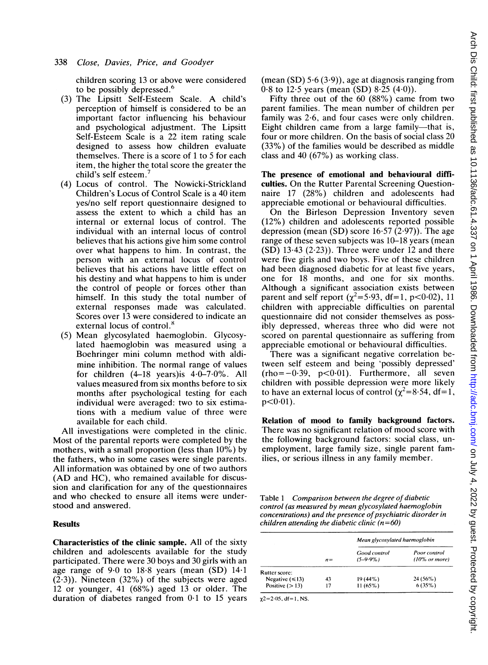children scoring 13 or above were considered to be possibly depressed.<sup>6</sup>

- (3) The Lipsitt Self-Esteem Scale. A child's perception of himself is considered to be an important factor influencing his behaviour and psychological adjustment. The Lipsitt Self-Esteem Scale is a 22 item rating scale designed to assess how children evaluate themselves. There is a score of <sup>1</sup> to 5 for each item, the higher the total score the greater the child's self esteem.
- (4) Locus of control. The Nowicki-Strickland Children's Locus of Control Scale is a 40 item yes/no self report questionnaire designed to assess the extent to which a child has an internal or external locus of control. The individual with an internal locus of control believes that his actions give him some control over what happens to him. In contrast, the person with an external locus of control believes that his actions have little effect on his destiny and what happens to him is under the control of people or forces other than himself. In this study the total number of external responses made was calculated. Scores over 13 were considered to indicate an external locus of control.<sup>8</sup>
- (5) Mean glycosylated haemoglobin. Glycosylated haemoglobin was measured using a Boehringer mini column method with aldimine inhibition. The normal range of values for children  $(4-18$  years) is  $4.0-7.0\%$ . All values measured from six months before to six months after psychological testing for each individual were averaged: two to six estimations with a medium value of three were available for each child.

All investigations were completed in the clinic. Most of the parental reports were completed by the mothers, with a small proportion (less than 10%) by the fathers, who in some cases were single parents. All information was obtained by one of two authors (AD and HC), who remained available for discussion and clarification for any of the questionnaires and who checked to ensure all items were understood and answered.

#### Results

Characteristics of the clinic sample. All of the sixty children and adolescents available for the study participated. There were 30 boys and 30 girls with an age range of 9-0 to 18-8 years (mean (SD) 14-1  $(2.3)$ ). Nineteen  $(32%)$  of the subjects were aged 12 or younger, 41 (68%) aged 13 or older. The duration of diabetes ranged from 0-1 to 15 years

(mean  $(SD)$  5.6 (3.9)), age at diagnosis ranging from 0.8 to 12.5 years (mean (SD) 8.25  $(4.0)$ ).

Fifty three out of the 60 (88%) came from two parent families. The mean number of children per family was 2 6, and four cases were only children. Eight children came from a large family-that is, four or more children. On the basis of social class 20 (33%) of the families would be described as middle class and 40 (67%) as working class.

The presence of emotional and behavioural difficulties. On the Rutter Parental Screening Questionnaire 17 (28%) children and adolescents had appreciable emotional or behavioural difficulties.

On the Birleson Depression Inventory seven (12%) children and adolescents reported possible depression (mean (SD) score  $16.57$  (2.97)). The age range of these seven subjects was 10-18 years (mean  $(SD)$  13.43 (2.23)). Three were under 12 and there were five girls and two boys. Five of these children had been diagnosed diabetic for at least five years, one for 18 months, and one for six months. Although a significant association exists between parent and self report ( $\chi^2$ =5.93, df=1, p<0.02), 11 children with appreciable difficulties on parental questionnaire did not consider themselves as possibly depressed, whereas three who did were not scored on parental questionnaire as suffering from appreciable emotional or behavioural difficulties.

There was a significant negative correlation between self esteem and being 'possibly depressed'  $(rho=-0.39, p<0.01)$ . Furthermore, all seven children with possible depression were more likely to have an external locus of control ( $\chi^2$ =8.54, df=1,  $p < 0.01$ .

Relation of mood to family background factors. There was no significant relation of mood score with the following background factors: social class, unemployment, large family size, single parent families, or serious illness in any family member.

Table <sup>1</sup> Comparison between the degree of diabetic control (as measured by mean glycosylated haemoglobin concentrations) and the presence of psychiatric disorder in children attending the diabetic clinic  $(n=60)$ 

|                      | $n =$ | Mean glycosylated haemoglobin |                                          |
|----------------------|-------|-------------------------------|------------------------------------------|
|                      |       | Good control<br>$(5-9.9\%)$   | Poor control<br>$(10\% \text{ or more})$ |
| Rutter score:        |       |                               |                                          |
| Negative $(\leq 13)$ | 43    | $19(44\%)$                    | $24(56\%)$                               |
| Positive $(>13)$     | 17    | $11(65\%)$                    | 6(35%)                                   |

 $\chi$ 2=2 $\cdot$ 05, df=1, NS.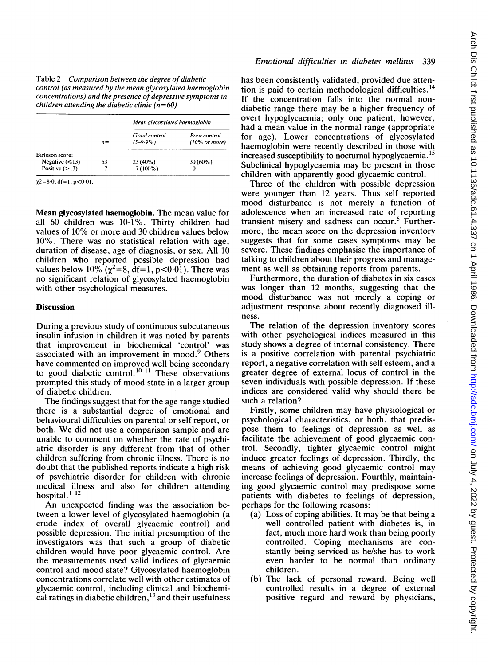| Table 2 Comparison between the degree of diabetic          |
|------------------------------------------------------------|
| control (as measured by the mean glycosylated haemoglobin  |
| concentrations) and the presence of depressive symptoms in |
| children attending the diabetic clinic $(n=60)$            |

|                      | $n =$ | Mean glycosylated haemoglobin |                                          |
|----------------------|-------|-------------------------------|------------------------------------------|
|                      |       | Good control<br>$(5-9.9\%)$   | Poor control<br>$(10\% \text{ or more})$ |
| Birleson score:      |       |                               |                                          |
| Negative $(\leq 13)$ | 53    | $23(40\%)$                    | $30(60\%)$                               |
| Positive $(>13)$     |       | $7(100\%)$                    |                                          |

 $\chi$ 2=8 $\cdot$ 0, df=1, p<0 $\cdot$ 01

Mean glycosylated haemoglobin. The mean value for all 60 children was 10-1%. Thirty children had values of 10% or more and 30 children values below 10%. There was no statistical relation with age, duration of disease, age of diagnosis, or sex. All 10 children who reported possible depression had values below 10%  $(\chi^2=8, \text{ df}=1, \text{ p}<0.01)$ . There was no significant relation of glycosylated haemoglobin with other psychological measures.

#### **Discussion**

During a previous study of continuous subcutaneous insulin infusion in children it was noted by parents that improvement in biochemical 'control' was associated with an improvement in mood.<sup>9</sup> Others have commented on improved well being secondary to good diabetic control.<sup>10</sup> <sup>11</sup> These observations prompted this study of mood state in a larger group of diabetic children.

The findings suggest that for the age range studied there is a substantial degree of emotional and behavioural difficulties on parental or self report, or both. We did not use <sup>a</sup> comparison sample and are unable to comment on whether the rate of psychiatric disorder is any different from that of other children suffering from chronic illness. There is no doubt that the published reports indicate a high risk of psychiatric disorder for children with chronic medical illness and also for children attending hospital. $112$ 

An unexpected finding was the association between a lower level of glycosylated haemoglobin (a crude index of overall glycaemic control) and possible depression. The initial presumption of the investigators was that such a group of diabetic children would have poor glycaemic control. Are the measurements used valid indices of glycaemic control and mood state? Glycosylated haemoglobin concentrations correlate well with other estimates of glycaemic control, including clinical and biochemical ratings in diabetic children, $^{13}$  and their usefulness

### Emotional difficulties in diabetes mellitus 339

has been consistently validated, provided due attention is paid to certain methodological difficulties.<sup>14</sup> If the concentration falls into the normal nondiabetic range there may be a higher frequency of overt hypoglycaemia; only one patient, however, had a mean value in the normal range (appropriate for age). Lower concentrations of glycosylated haemoglobin were recently described in those with increased susceptibility to nocturnal hypoglycaemia.<sup>15</sup> Subclinical hypoglycaemia may be present in those children with apparently good glycaemic control.

Three of the children with possible depression were younger than 12 years. Thus self reported mood disturbance is not merely <sup>a</sup> function of adolescence when an increased rate of reporting transient misery and sadness can occur.<sup>5</sup> Furthermore, the mean score on the depression inventory suggests that for some cases symptoms may be severe. These findings emphasise the importance of talking to children about their progress and management as well as obtaining reports from parents.

Furthermore, the duration of diabetes in six cases was longer than 12 months, suggesting that the mood disturbance was not merely <sup>a</sup> coping or adjustment response about recently diagnosed illness.

The relation of the depression inventory scores with other psychological indices measured in this study shows a degree of internal consistency. There is a positive correlation with parental psychiatric report, a negative correlation with self esteem, and a greater degree of external locus of control in the seven individuals with possible depression. If these indices are considered valid why should there be such a relation?

Firstly, some children may have physiological or psychological characteristics, or both, that predispose them to feelings of depression as well as facilitate the achievement of good glycaemic control. Secondly, tighter glycaemic control might induce greater feelings of depression. Thirdly, the means of achieving good glycaemic control may increase feelings of depression. Fourthly, maintaining good glycaemic control may predispose some patients with diabetes to feelings of depression, perhaps for the following reasons:

- (a) Loss of coping abilities. It may be that being a well controlled patient with diabetes is, in fact, much more hard work than being poorly controlled. Coping mechanisms are constantly being serviced as he/she has to work even harder to be normal than ordinary children.
- (b) The lack of personal reward. Being well controlled results in a degree of external positive regard and reward by physicians,